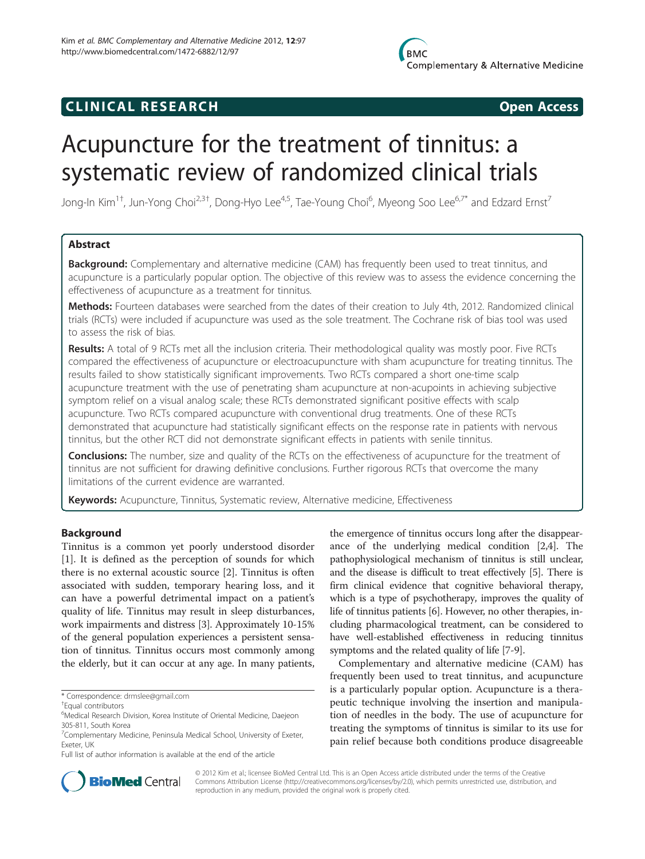# **CLINICAL RESEARCH CLINICAL RESEARCH**

# Acupuncture for the treatment of tinnitus: a systematic review of randomized clinical trials

Jong-In Kim $^{1\dagger}$ , Jun-Yong Choi $^{2,3\dagger}$ , Dong-Hyo Lee $^{4,5}$ , Tae-Young Choi $^6$ , Myeong Soo Lee $^{6,7^\ast}$  and Edzard Ernst $^7$ 

# Abstract

**Background:** Complementary and alternative medicine (CAM) has frequently been used to treat tinnitus, and acupuncture is a particularly popular option. The objective of this review was to assess the evidence concerning the effectiveness of acupuncture as a treatment for tinnitus.

Methods: Fourteen databases were searched from the dates of their creation to July 4th, 2012. Randomized clinical trials (RCTs) were included if acupuncture was used as the sole treatment. The Cochrane risk of bias tool was used to assess the risk of bias.

Results: A total of 9 RCTs met all the inclusion criteria. Their methodological quality was mostly poor. Five RCTs compared the effectiveness of acupuncture or electroacupuncture with sham acupuncture for treating tinnitus. The results failed to show statistically significant improvements. Two RCTs compared a short one-time scalp acupuncture treatment with the use of penetrating sham acupuncture at non-acupoints in achieving subjective symptom relief on a visual analog scale; these RCTs demonstrated significant positive effects with scalp acupuncture. Two RCTs compared acupuncture with conventional drug treatments. One of these RCTs demonstrated that acupuncture had statistically significant effects on the response rate in patients with nervous tinnitus, but the other RCT did not demonstrate significant effects in patients with senile tinnitus.

**Conclusions:** The number, size and quality of the RCTs on the effectiveness of acupuncture for the treatment of tinnitus are not sufficient for drawing definitive conclusions. Further rigorous RCTs that overcome the many limitations of the current evidence are warranted.

Keywords: Acupuncture, Tinnitus, Systematic review, Alternative medicine, Effectiveness

# Background

Tinnitus is a common yet poorly understood disorder [[1\]](#page-8-0). It is defined as the perception of sounds for which there is no external acoustic source [[2\]](#page-8-0). Tinnitus is often associated with sudden, temporary hearing loss, and it can have a powerful detrimental impact on a patient's quality of life. Tinnitus may result in sleep disturbances, work impairments and distress [\[3\]](#page-8-0). Approximately 10-15% of the general population experiences a persistent sensation of tinnitus. Tinnitus occurs most commonly among the elderly, but it can occur at any age. In many patients,

the emergence of tinnitus occurs long after the disappearance of the underlying medical condition [\[2,4\]](#page-8-0). The pathophysiological mechanism of tinnitus is still unclear, and the disease is difficult to treat effectively [\[5\]](#page-8-0). There is firm clinical evidence that cognitive behavioral therapy, which is a type of psychotherapy, improves the quality of life of tinnitus patients [[6\]](#page-8-0). However, no other therapies, including pharmacological treatment, can be considered to have well-established effectiveness in reducing tinnitus symptoms and the related quality of life [[7-9\]](#page-8-0).

Complementary and alternative medicine (CAM) has frequently been used to treat tinnitus, and acupuncture is a particularly popular option. Acupuncture is a therapeutic technique involving the insertion and manipulation of needles in the body. The use of acupuncture for treating the symptoms of tinnitus is similar to its use for pain relief because both conditions produce disagreeable



© 2012 Kim et al.; licensee BioMed Central Ltd. This is an Open Access article distributed under the terms of the Creative Commons Attribution License [\(http://creativecommons.org/licenses/by/2.0\)](http://creativecommons.org/licenses/by/2.0), which permits unrestricted use, distribution, and reproduction in any medium, provided the original work is properly cited.

<sup>\*</sup> Correspondence: [drmslee@gmail.com](mailto:drmslee@gmail.com) †

Equal contributors

<sup>&</sup>lt;sup>6</sup>Medical Research Division, Korea Institute of Oriental Medicine, Daejeon 305-811, South Korea

<sup>&</sup>lt;sup>7</sup> Complementary Medicine, Peninsula Medical School, University of Exeter, Exeter, UK

Full list of author information is available at the end of the article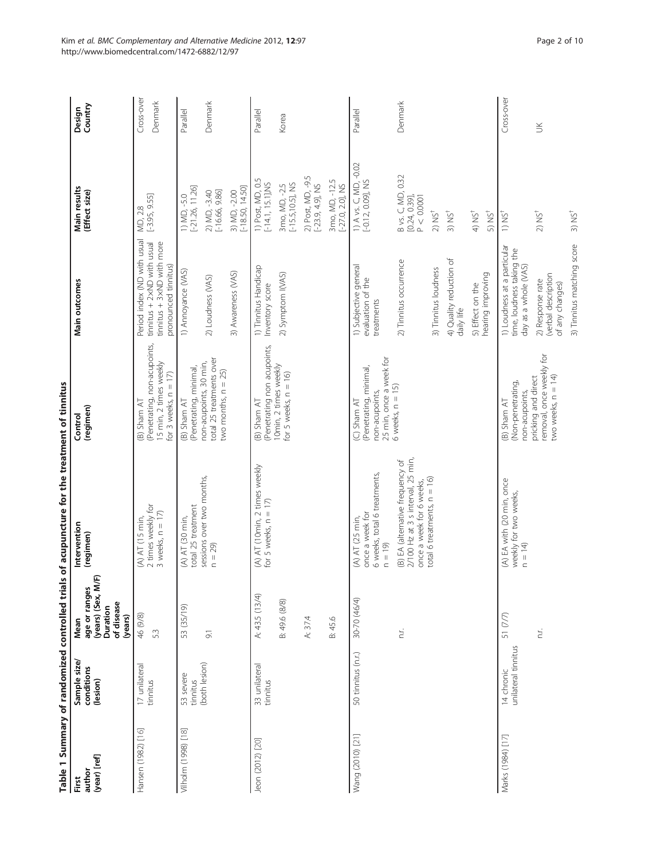<span id="page-1-0"></span>

| Table 1 Summary of randomized controlled trials |                                        |                                                                                  | of acupuncture for the treatment of tinnitus                                                                                                                                                                          |                                                                                                                                |                                                                                                                                                                                              |                                                                                                                                                                                 |                       |
|-------------------------------------------------|----------------------------------------|----------------------------------------------------------------------------------|-----------------------------------------------------------------------------------------------------------------------------------------------------------------------------------------------------------------------|--------------------------------------------------------------------------------------------------------------------------------|----------------------------------------------------------------------------------------------------------------------------------------------------------------------------------------------|---------------------------------------------------------------------------------------------------------------------------------------------------------------------------------|-----------------------|
| (year) [ref]<br>author<br>First                 | Sample size/<br>conditions<br>(lesion) | (years) (Sex, M/F)<br>age or ranges<br>of disease<br>Duration<br>(years)<br>Mean | Intervention<br>(regimen)                                                                                                                                                                                             | (regimen)<br>Control                                                                                                           | Main outcomes                                                                                                                                                                                | Main results<br>(Effect size)                                                                                                                                                   | Country<br>Design     |
| Hansen (1982) [16]                              | 17 unilateral<br>tinnitus              | 46 (9/8)<br>53                                                                   | 2 times weekly for<br>3 weeks, $n = 17$<br>(A) AT (15 min,                                                                                                                                                            | (Penetrating, non-acupoints,<br>15 min, 2 times weekly<br>for 3 weeks, $n = 17$ )<br>$(8)$ Sham AT                             | Period index (ND with usual<br>tinnitus + 2xND with usual<br>tinnitus + 3xND with more<br>pronounced tinnitus)                                                                               | $[-3.95, 9.55]$<br>MD, 2.8                                                                                                                                                      | Cross-over<br>Denmark |
| Vilholm (1998) [18]                             | (both lesion)<br>53 severe<br>tinnitus | 53 (35/19)<br>$\overline{9}$                                                     | sessions over two months,<br>total 25 treatment<br>(A) AT (30 min,<br>$n = 29$                                                                                                                                        | total 25 treatments over<br>non-acupoints, 30 min,<br>(Penetrating, minimal,<br>two months, $n = 25$ )<br>(B) Sham AT          | 1) Annoyance (VAS)<br>3) Awareness (VAS)<br>2) Loudness (VAS)                                                                                                                                | $[-21.26, 11.26]$<br>$[-18.50, 14.50]$<br>$[-16.66, 9.86]$<br>2) MD, -3.40<br>3) MD, -2.00<br>1) MD, -5.0                                                                       | Denmark<br>Parallel   |
| Jeon (2012) [20]                                | 33 unilateral<br>tinnitus              | A: 43.5 (13/4)<br>B: 49.6 (8/8)<br>B: 45.6<br>A: 37.4                            | (A) AT (10min, 2 times weekly<br>for 5 weeks, $n = 17$ )                                                                                                                                                              | (Penetrating non acupoints,<br>10min, 2 times weekly<br>for 5 weeks, $n = 16$ )<br>(B) Sham AT                                 | 1) Tinnitus Handicap<br>2) Symptom I(VAS)<br>Inventory score                                                                                                                                 | 2) Post, MD, -9.5<br>1) Post, MD, 0.5<br>3mo, MD, -12.5<br>$[-14.1, 15.1]$ , NS<br>$-15.5, 10.5$ ], NS<br>3mo, MD, -2.5<br>$[-23.9, 4.9]$ , NS<br>$[-27.0, 2.0]$ , NS           | Parallel<br>Korea     |
| Wang (2010) [21]                                | 50 tinnitus (n.r.)                     | 30-70 (46/4)<br>h.r                                                              | 2/100 Hz at 3 s interval, 25 min,<br>(B) EA (alternative frequency of<br>6 weeks, total 6 treatments,<br>total 6 treatments, $n = 16$ )<br>once a week for 6 weeks,<br>once a week for<br>(A) AT (25 min,<br>$n = 19$ | 25 min, once a week for<br>(Penetrating, minimal,<br>$6$ weeks, $n = 15$ )<br>non-acupoints,<br>(C) Sham AT                    | 4) Quality reduction of<br>2) Tinnitus occurrence<br>1) Subjective general<br>3) Tinnitus loudness<br>hearing improving<br>evaluation of the<br>5) Effect on the<br>treatments<br>daily life | 1) A vs. C, MD, -0.02<br>[-0.12, 0.09], NS<br>B vs. C, MD, 0.32<br>[0.24, 0.39]<br>P < 0.0001<br>3) $NS+$<br>$4)$ NS <sup>+</sup><br>5) NS <sup>+</sup><br>$2)$ NS <sup>+</sup> | Denmark<br>Parallel   |
| Marks (1984) [17]                               | unilateral tinnitus<br>14 chronic      | 51 (7/7)<br>n.r.                                                                 | (A) EA with (20 min, once<br>weekly for two weeks,<br>$n = 14$                                                                                                                                                        | removal, once weekly for<br>two weeks, $n = 14$ )<br>pricking and direct<br>(Non-penetrating,<br>non-acupoints,<br>(B) Sham AT | 3) Tinnitus matching score<br>1) Loudness at a particular<br>time, loudness taking the<br>day as a whole (VAS)<br>(verbal description<br>2) Response rate<br>of any changes)                 | $3)$ NS <sup>+</sup><br>$2)NS+$<br>$1)$ NS <sup>+</sup>                                                                                                                         | Cross-over<br>$\leq$  |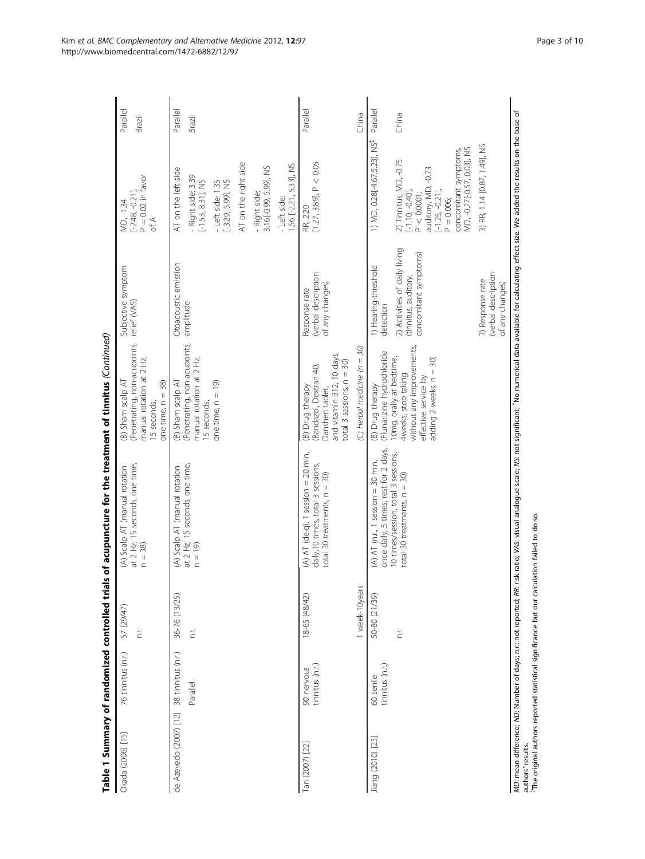| Okada (2006) [15]      | 76 tinnitus (n.r.)            | 57 (29/47)     | at 2 Hz, 15 seconds, one time,<br>(A) Scalp AT (manual rotation                                                    | (Penetrating, non-acupoints,<br>(B) Sham scalp AT                                                                               | Subjective symptom<br>relief (VAS)                                             | $[-2.48, -0.21]$<br>MD, -1.34                                                                                                                                                       | Parallel |
|------------------------|-------------------------------|----------------|--------------------------------------------------------------------------------------------------------------------|---------------------------------------------------------------------------------------------------------------------------------|--------------------------------------------------------------------------------|-------------------------------------------------------------------------------------------------------------------------------------------------------------------------------------|----------|
|                        |                               | h.í.           | $n = 38$                                                                                                           | manual rotation at 2 Hz,<br>one time, $n = 38$ )<br>15 seconds,                                                                 |                                                                                | $P = 0.02$ in favor<br>of A                                                                                                                                                         | Brazil   |
| de Azevedo (2007) [12] | 38 tinnitus (n.r.)            | 36-76 (13/25)  | (A) Scalp AT (manual rotation                                                                                      | (B) Sham scalp AT                                                                                                               | Otoacoustic emission                                                           | AT on the left side                                                                                                                                                                 | Parallel |
|                        | Parallel                      | h.í.           | at 2 Hz, 15 seconds, one time,<br>n = 19)                                                                          | (Penetrating, non-acupoints,<br>manual rotation at 2 Hz,<br>15 seconds,                                                         | amplitude                                                                      | - Right side: 3.39<br>$-1.53, 8.31$ ], NS                                                                                                                                           | Brazil   |
|                        |                               |                |                                                                                                                    | one time, $n = 19$                                                                                                              |                                                                                | $-$ Left side: $1.35$<br>$[-3.29, 5.99]$ , NS                                                                                                                                       |          |
|                        |                               |                |                                                                                                                    |                                                                                                                                 |                                                                                | AT on the right side                                                                                                                                                                |          |
|                        |                               |                |                                                                                                                    |                                                                                                                                 |                                                                                | - Right side:<br>3.16[-0.99, 5.99], NS                                                                                                                                              |          |
|                        |                               |                |                                                                                                                    |                                                                                                                                 |                                                                                | 1.56 [-2.21, 5.33], NS<br>- Left side:                                                                                                                                              |          |
| Tan (2007) [22]        | tinnitus (n.r.)<br>90 nervous | 18-65 (48/42)  | $l$ session = 20 min,<br>daily, 10 times, total 3 sessions,<br>total 30 treatments, $n = 30$ )<br>(A) AT (de-qi, 1 | and vitamin B12, 10 days,<br>total 3 sessions, $n = 30$ )<br>(Bandazol, Dextran 40,<br>(B) Drug therapy<br>Danshen tablet,      | (verbal description<br>of any changes)<br>Response rate                        | $[1.27, 3.89]$ , $P < 0.05$<br>RR, 2.20                                                                                                                                             | Parallel |
|                        |                               | 1 week-10years |                                                                                                                    | C) Herbal medicine (n = 30)                                                                                                     |                                                                                |                                                                                                                                                                                     | China    |
| Jiang (2010) [23]      | tinnitus (n.r.)<br>60 senile  | 50-80 (21/39)  | once daily, 5 times, rest for 2 days,<br>(A) AT (n.r., 1 session = 30 min,                                         | (B) Drug therapy<br>(Flunarizine hydrochloride                                                                                  | 1) Hearing-threshold<br>detection                                              | 1) MD, 0.28[-4.67,5.23], NS <sup>‡</sup>                                                                                                                                            | Parallel |
|                        |                               | n.r.           | 10 times/session, total 3 sessions,<br>total 30 treatments, $n = 30$ )                                             | without any improvements,<br>10mg, orally at bedtime,<br>adding 2 weeks, n = 30)<br>4weeks, stop taking<br>effective service by | 2) Activities of daily living<br>concomitant symptoms)<br>(tinnitus, auditory, | MD, -0.27[-0.57, 0.03], NS<br>concomitant symptoms,<br>2) Tinnitus, MD, -0.75<br>$-0.73$<br>auditory, MD,<br>$-1.25, -0.21$ ]<br>$[-1.10, -0.40]$<br>$P < 0.0001$ ;<br>$P = 0.006;$ | China    |
|                        |                               |                |                                                                                                                    |                                                                                                                                 | (verbal description<br>3) Response rate<br>of any changes)                     | 3) RR, 1.14 [0.87, 1.49], NS                                                                                                                                                        |          |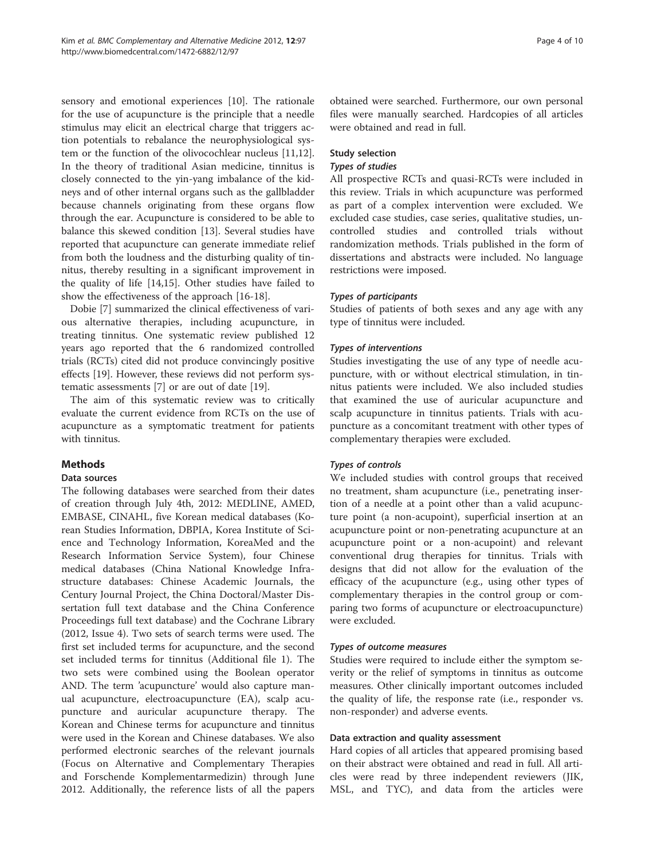sensory and emotional experiences [[10](#page-8-0)]. The rationale for the use of acupuncture is the principle that a needle stimulus may elicit an electrical charge that triggers action potentials to rebalance the neurophysiological system or the function of the olivocochlear nucleus [\[11,12](#page-8-0)]. In the theory of traditional Asian medicine, tinnitus is closely connected to the yin-yang imbalance of the kidneys and of other internal organs such as the gallbladder because channels originating from these organs flow through the ear. Acupuncture is considered to be able to balance this skewed condition [[13](#page-8-0)]. Several studies have reported that acupuncture can generate immediate relief from both the loudness and the disturbing quality of tinnitus, thereby resulting in a significant improvement in the quality of life [\[14,15\]](#page-8-0). Other studies have failed to show the effectiveness of the approach [\[16-18](#page-9-0)].

Dobie [\[7](#page-8-0)] summarized the clinical effectiveness of various alternative therapies, including acupuncture, in treating tinnitus. One systematic review published 12 years ago reported that the 6 randomized controlled trials (RCTs) cited did not produce convincingly positive effects [[19\]](#page-9-0). However, these reviews did not perform systematic assessments [\[7\]](#page-8-0) or are out of date [\[19\]](#page-9-0).

The aim of this systematic review was to critically evaluate the current evidence from RCTs on the use of acupuncture as a symptomatic treatment for patients with tinnitus.

# Methods

## Data sources

The following databases were searched from their dates of creation through July 4th, 2012: MEDLINE, AMED, EMBASE, CINAHL, five Korean medical databases (Korean Studies Information, DBPIA, Korea Institute of Science and Technology Information, KoreaMed and the Research Information Service System), four Chinese medical databases (China National Knowledge Infrastructure databases: Chinese Academic Journals, the Century Journal Project, the China Doctoral/Master Dissertation full text database and the China Conference Proceedings full text database) and the Cochrane Library (2012, Issue 4). Two sets of search terms were used. The first set included terms for acupuncture, and the second set included terms for tinnitus (Additional file [1\)](#page-8-0). The two sets were combined using the Boolean operator AND. The term 'acupuncture' would also capture manual acupuncture, electroacupuncture (EA), scalp acupuncture and auricular acupuncture therapy. The Korean and Chinese terms for acupuncture and tinnitus were used in the Korean and Chinese databases. We also performed electronic searches of the relevant journals (Focus on Alternative and Complementary Therapies and Forschende Komplementarmedizin) through June 2012. Additionally, the reference lists of all the papers obtained were searched. Furthermore, our own personal files were manually searched. Hardcopies of all articles were obtained and read in full.

#### Study selection

#### Types of studies

All prospective RCTs and quasi-RCTs were included in this review. Trials in which acupuncture was performed as part of a complex intervention were excluded. We excluded case studies, case series, qualitative studies, uncontrolled studies and controlled trials without randomization methods. Trials published in the form of dissertations and abstracts were included. No language restrictions were imposed.

## Types of participants

Studies of patients of both sexes and any age with any type of tinnitus were included.

#### Types of interventions

Studies investigating the use of any type of needle acupuncture, with or without electrical stimulation, in tinnitus patients were included. We also included studies that examined the use of auricular acupuncture and scalp acupuncture in tinnitus patients. Trials with acupuncture as a concomitant treatment with other types of complementary therapies were excluded.

## Types of controls

We included studies with control groups that received no treatment, sham acupuncture (i.e., penetrating insertion of a needle at a point other than a valid acupuncture point (a non-acupoint), superficial insertion at an acupuncture point or non-penetrating acupuncture at an acupuncture point or a non-acupoint) and relevant conventional drug therapies for tinnitus. Trials with designs that did not allow for the evaluation of the efficacy of the acupuncture (e.g., using other types of complementary therapies in the control group or comparing two forms of acupuncture or electroacupuncture) were excluded.

#### Types of outcome measures

Studies were required to include either the symptom severity or the relief of symptoms in tinnitus as outcome measures. Other clinically important outcomes included the quality of life, the response rate (i.e., responder vs. non-responder) and adverse events.

#### Data extraction and quality assessment

Hard copies of all articles that appeared promising based on their abstract were obtained and read in full. All articles were read by three independent reviewers (JIK, MSL, and TYC), and data from the articles were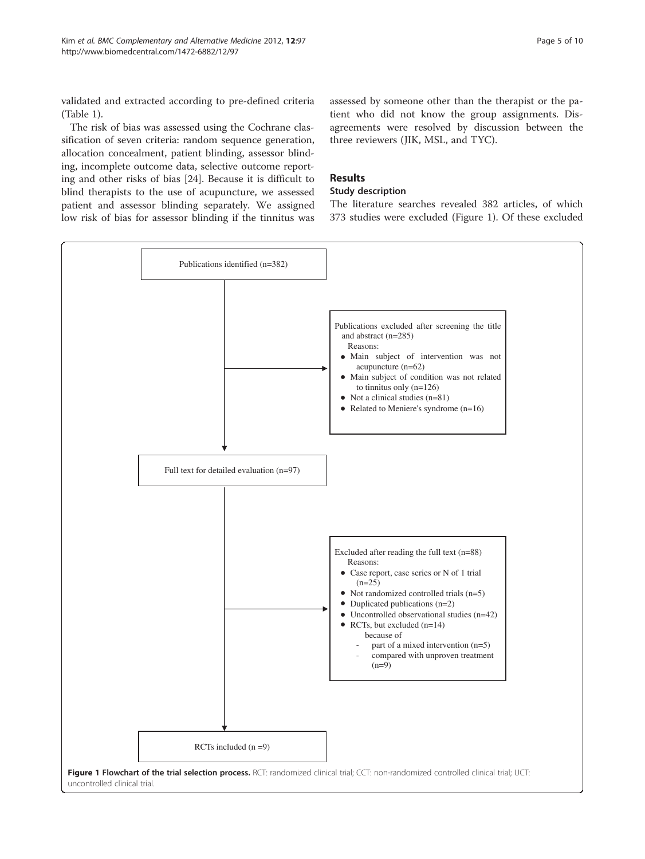validated and extracted according to pre-defined criteria

(Table [1\)](#page-1-0). The risk of bias was assessed using the Cochrane classification of seven criteria: random sequence generation, allocation concealment, patient blinding, assessor blinding, incomplete outcome data, selective outcome reporting and other risks of bias [\[24](#page-9-0)]. Because it is difficult to blind therapists to the use of acupuncture, we assessed patient and assessor blinding separately. We assigned low risk of bias for assessor blinding if the tinnitus was

assessed by someone other than the therapist or the patient who did not know the group assignments. Disagreements were resolved by discussion between the three reviewers (JIK, MSL, and TYC).

# Results

## Study description

The literature searches revealed 382 articles, of which 373 studies were excluded (Figure 1). Of these excluded

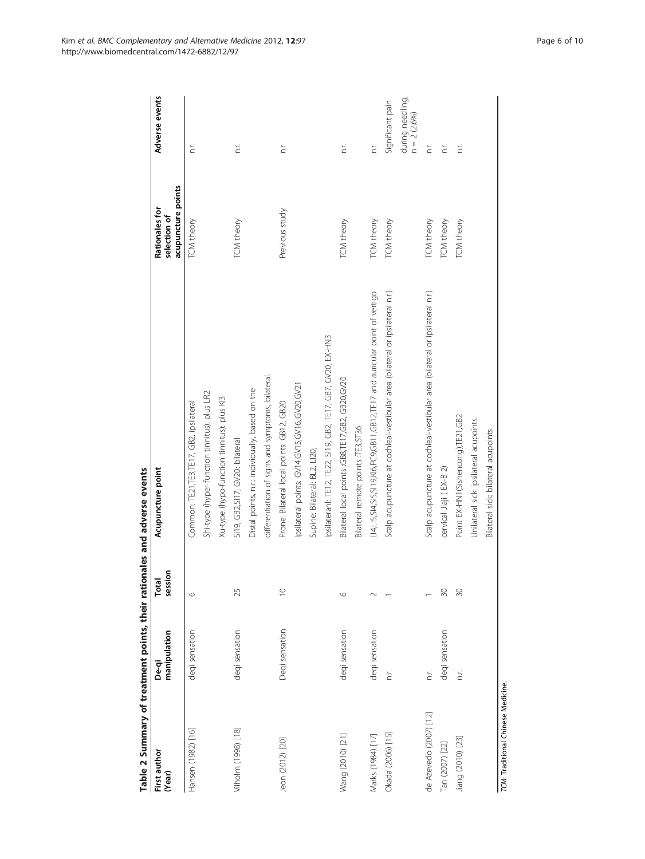<span id="page-5-0"></span>

| Table 2 Summary of treatment points, their rationales and adverse events |                       |                  |                                                                               |                                                      |                                    |
|--------------------------------------------------------------------------|-----------------------|------------------|-------------------------------------------------------------------------------|------------------------------------------------------|------------------------------------|
| First author<br>(Year)                                                   | manipulation<br>De−qi | session<br>Total | Acupuncture point                                                             | acupuncture points<br>Rationales for<br>selection of | Adverse events                     |
| Hansen (1982) [16]                                                       | deqi sensation        | $\circ$          | Common: TE21,TE3,TE17, GB2, ipsilateral                                       | TCM theory                                           | h.i.                               |
|                                                                          |                       |                  | Shi-type (hyper-function tinnitus): plus LR2                                  |                                                      |                                    |
|                                                                          |                       |                  | Xu-type (hypo-function tinnitus): plus KI3                                    |                                                      |                                    |
| Vilholm (1998) [18]                                                      | deqi sensation        | 25               | S19, GB2, S17, GV20: bilateral                                                | TCM theory                                           | Γ.                                 |
|                                                                          |                       |                  | Distal points, n.r.: individually, based on the                               |                                                      |                                    |
|                                                                          |                       |                  | differentiation of signs and symptoms, bilateral.                             |                                                      |                                    |
| Jeon (2012) [20]                                                         | Deqi sensation        | $\supseteq$      | Prone: Bilateral local points: GB12, GB20                                     | Previous study                                       | hľ.                                |
|                                                                          |                       |                  | Ipsilateral points: GV14,GV15,GV16,,GV20,GV21                                 |                                                      |                                    |
|                                                                          |                       |                  | Supine: Bilateral: BL2, LI20;                                                 |                                                      |                                    |
|                                                                          |                       |                  | psilaterani: TE12, TE22, SI19, GB2, TE17, GB7, GV20, EX-HN3                   |                                                      |                                    |
| Wang (2010) [21]                                                         | degi sensation        | $\circ$          | Bilateral local points :GB8,TE17,GB2, GB20,GV20                               | TCM theory                                           | Ξ.                                 |
|                                                                          |                       |                  | Bilateral remote points: TE3, ST36                                            |                                                      |                                    |
| Marks (1984) [17]                                                        | degi sensation        |                  | LI4,LI5,SI4,SI5,SI19,KI6,PC9,GB11,GB12,TE17 and auricular point of vertigo    | TCM theory                                           | n.r.                               |
| Okada (2006) [15]                                                        | Γ.                    |                  | Scalp acupuncture at cochleal-vestibular area (bilateral or ipsilateral n.r.) | TCM theory                                           | Significant pain                   |
|                                                                          |                       |                  |                                                                               |                                                      | during needling,<br>$n = 2$ (2.6%) |
| de Azevedo (2007) [12]                                                   | Πľ.                   |                  | Scalp acupuncture at cochleal-vestibular area (bilateral or ipsilateral n.r.) | TCM theory                                           | h.i                                |
| Tan (2007) [22]                                                          | deqi sensation        | $\approx$        | cervical Jiaji (EX-B 2)                                                       | TCM theory                                           | Γ.                                 |
| Jiang (2010) [23]                                                        | Ξ.                    | 30               | Point EX-HN1(Sishencong),TE21,GB2                                             | TCM theory                                           | h.r.                               |
|                                                                          |                       |                  | Unilateral sick: ipsilateral acupoints                                        |                                                      |                                    |
|                                                                          |                       |                  | Bilateral sick: bilateral acupoints                                           |                                                      |                                    |

TCM: Traditional Chinese Medicine. TCM: Traditional Chinese Medicine.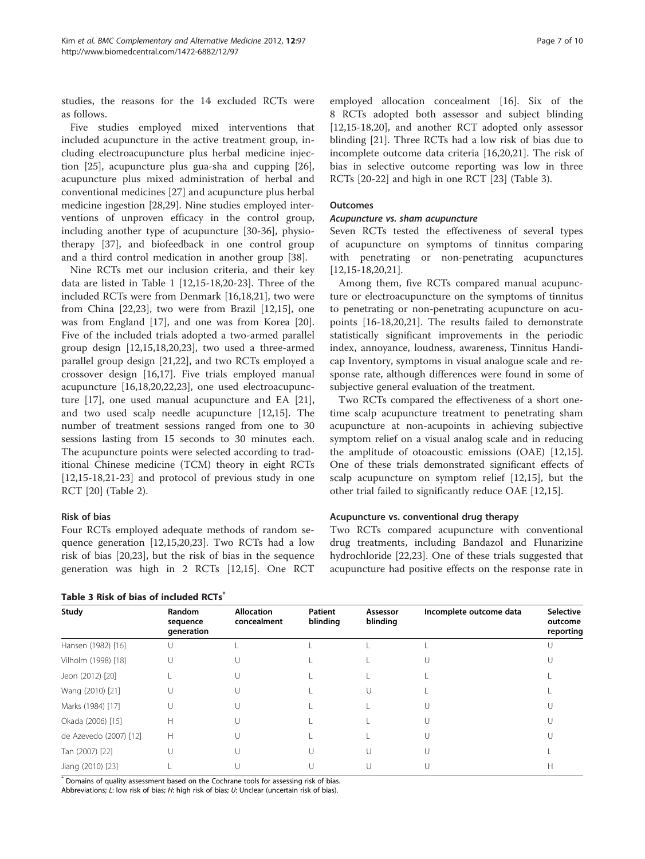studies, the reasons for the 14 excluded RCTs were as follows.

Five studies employed mixed interventions that included acupuncture in the active treatment group, including electroacupuncture plus herbal medicine injection [[25\]](#page-9-0), acupuncture plus gua-sha and cupping [\[26](#page-9-0)], acupuncture plus mixed administration of herbal and conventional medicines [[27](#page-9-0)] and acupuncture plus herbal medicine ingestion [\[28,29](#page-9-0)]. Nine studies employed interventions of unproven efficacy in the control group, including another type of acupuncture [[30-36\]](#page-9-0), physiotherapy [[37\]](#page-9-0), and biofeedback in one control group and a third control medication in another group [[38\]](#page-9-0).

Nine RCTs met our inclusion criteria, and their key data are listed in Table [1](#page-1-0) [\[12,15](#page-8-0)-[18,20-23\]](#page-9-0). Three of the included RCTs were from Denmark [[16](#page-9-0),[18](#page-9-0),[21](#page-9-0)], two were from China [\[22,23\]](#page-9-0), two were from Brazil [[12,15\]](#page-8-0), one was from England [\[17](#page-9-0)], and one was from Korea [\[20](#page-9-0)]. Five of the included trials adopted a two-armed parallel group design [[12](#page-8-0),[15](#page-8-0),[18](#page-9-0),[20,23](#page-9-0)], two used a three-armed parallel group design [[21,22\]](#page-9-0), and two RCTs employed a crossover design [\[16,17](#page-9-0)]. Five trials employed manual acupuncture [\[16,18,20,22,23\]](#page-9-0), one used electroacupuncture [\[17\]](#page-9-0), one used manual acupuncture and EA [\[21](#page-9-0)], and two used scalp needle acupuncture [\[12,15](#page-8-0)]. The number of treatment sessions ranged from one to 30 sessions lasting from 15 seconds to 30 minutes each. The acupuncture points were selected according to traditional Chinese medicine (TCM) theory in eight RCTs [[12,15-](#page-8-0)[18,21-23](#page-9-0)] and protocol of previous study in one RCT [\[20](#page-9-0)] (Table [2](#page-5-0)).

#### Risk of bias

Four RCTs employed adequate methods of random sequence generation [[12](#page-8-0),[15](#page-8-0)[,20,23](#page-9-0)]. Two RCTs had a low risk of bias [\[20,23\]](#page-9-0), but the risk of bias in the sequence generation was high in 2 RCTs [[12,15\]](#page-8-0). One RCT

Table 3 Risk of bias of included RCTs<sup>\*</sup>

employed allocation concealment [[16](#page-9-0)]. Six of the 8 RCTs adopted both assessor and subject blinding [[12,15-](#page-8-0)[18,20\]](#page-9-0), and another RCT adopted only assessor blinding [[21\]](#page-9-0). Three RCTs had a low risk of bias due to incomplete outcome data criteria [[16,20,21](#page-9-0)]. The risk of bias in selective outcome reporting was low in three RCTs [\[20](#page-9-0)-[22](#page-9-0)] and high in one RCT [[23\]](#page-9-0) (Table 3).

#### **Outcomes**

#### Acupuncture vs. sham acupuncture

Seven RCTs tested the effectiveness of several types of acupuncture on symptoms of tinnitus comparing with penetrating or non-penetrating acupunctures [[12,15-](#page-8-0)[18,20,21\]](#page-9-0).

Among them, five RCTs compared manual acupuncture or electroacupuncture on the symptoms of tinnitus to penetrating or non-penetrating acupuncture on acupoints [\[16-18,20,21](#page-9-0)]. The results failed to demonstrate statistically significant improvements in the periodic index, annoyance, loudness, awareness, Tinnitus Handicap Inventory, symptoms in visual analogue scale and response rate, although differences were found in some of subjective general evaluation of the treatment.

Two RCTs compared the effectiveness of a short onetime scalp acupuncture treatment to penetrating sham acupuncture at non-acupoints in achieving subjective symptom relief on a visual analog scale and in reducing the amplitude of otoacoustic emissions (OAE) [\[12,15](#page-8-0)]. One of these trials demonstrated significant effects of scalp acupuncture on symptom relief [[12,15](#page-8-0)], but the other trial failed to significantly reduce OAE [\[12,15\]](#page-8-0).

#### Acupuncture vs. conventional drug therapy

Two RCTs compared acupuncture with conventional drug treatments, including Bandazol and Flunarizine hydrochloride [\[22,23](#page-9-0)]. One of these trials suggested that acupuncture had positive effects on the response rate in

| Study                  | Random<br>sequence<br>generation | <b>Allocation</b><br>concealment | Patient<br>blinding | Assessor<br>blinding | Incomplete outcome data | <b>Selective</b><br>outcome<br>reporting |
|------------------------|----------------------------------|----------------------------------|---------------------|----------------------|-------------------------|------------------------------------------|
| Hansen (1982) [16]     |                                  |                                  |                     |                      |                         |                                          |
| Vilholm (1998) [18]    |                                  |                                  |                     |                      |                         |                                          |
| Jeon (2012) [20]       |                                  |                                  |                     |                      |                         |                                          |
| Wang (2010) [21]       |                                  |                                  |                     | U                    |                         |                                          |
| Marks (1984) [17]      |                                  |                                  |                     |                      |                         |                                          |
| Okada (2006) [15]      | H                                |                                  |                     |                      |                         |                                          |
| de Azevedo (2007) [12] | H                                |                                  |                     |                      |                         |                                          |
| Tan (2007) [22]        |                                  |                                  |                     | U                    |                         |                                          |
| Jiang (2010) [23]      |                                  |                                  |                     |                      |                         | Ħ                                        |

\* Domains of quality assessment based on the Cochrane tools for assessing risk of bias.

Abbreviations; L: low risk of bias; H: high risk of bias; U: Unclear (uncertain risk of bias).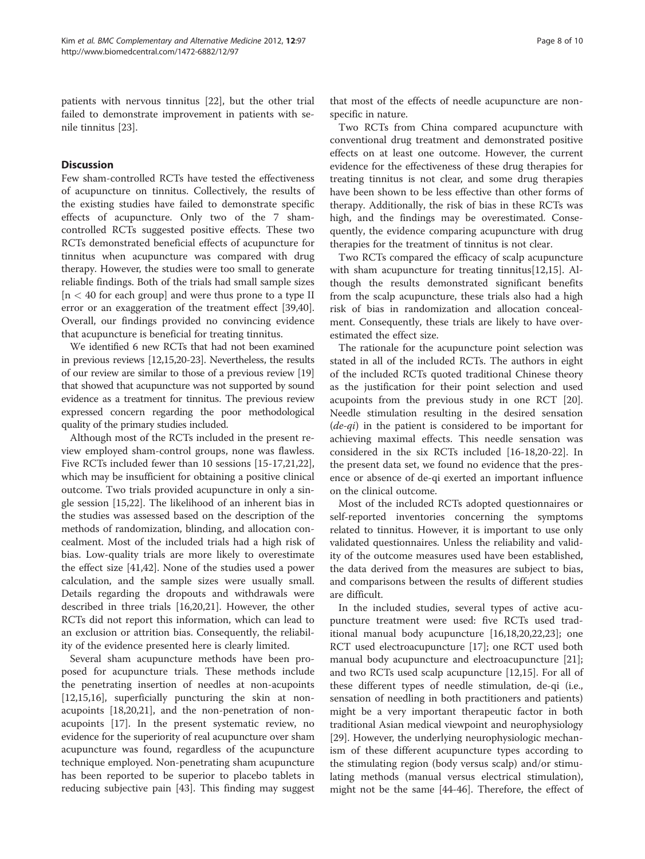patients with nervous tinnitus [\[22](#page-9-0)], but the other trial failed to demonstrate improvement in patients with senile tinnitus [\[23\]](#page-9-0).

#### **Discussion**

Few sham-controlled RCTs have tested the effectiveness of acupuncture on tinnitus. Collectively, the results of the existing studies have failed to demonstrate specific effects of acupuncture. Only two of the 7 shamcontrolled RCTs suggested positive effects. These two RCTs demonstrated beneficial effects of acupuncture for tinnitus when acupuncture was compared with drug therapy. However, the studies were too small to generate reliable findings. Both of the trials had small sample sizes  $[n < 40$  for each group] and were thus prone to a type II error or an exaggeration of the treatment effect [\[39,40](#page-9-0)]. Overall, our findings provided no convincing evidence that acupuncture is beneficial for treating tinnitus.

We identified 6 new RCTs that had not been examined in previous reviews [[12,15,](#page-8-0)[20](#page-9-0)-[23](#page-9-0)]. Nevertheless, the results of our review are similar to those of a previous review [[19](#page-9-0)] that showed that acupuncture was not supported by sound evidence as a treatment for tinnitus. The previous review expressed concern regarding the poor methodological quality of the primary studies included.

Although most of the RCTs included in the present review employed sham-control groups, none was flawless. Five RCTs included fewer than 10 sessions [\[15](#page-8-0)[-17,21,22](#page-9-0)], which may be insufficient for obtaining a positive clinical outcome. Two trials provided acupuncture in only a single session [\[15](#page-8-0)[,22\]](#page-9-0). The likelihood of an inherent bias in the studies was assessed based on the description of the methods of randomization, blinding, and allocation concealment. Most of the included trials had a high risk of bias. Low-quality trials are more likely to overestimate the effect size [\[41,42\]](#page-9-0). None of the studies used a power calculation, and the sample sizes were usually small. Details regarding the dropouts and withdrawals were described in three trials [\[16,20,21](#page-9-0)]. However, the other RCTs did not report this information, which can lead to an exclusion or attrition bias. Consequently, the reliability of the evidence presented here is clearly limited.

Several sham acupuncture methods have been proposed for acupuncture trials. These methods include the penetrating insertion of needles at non-acupoints [[12,15,](#page-8-0)[16\]](#page-9-0), superficially puncturing the skin at nonacupoints [\[18,20,21](#page-9-0)], and the non-penetration of nonacupoints [\[17](#page-9-0)]. In the present systematic review, no evidence for the superiority of real acupuncture over sham acupuncture was found, regardless of the acupuncture technique employed. Non-penetrating sham acupuncture has been reported to be superior to placebo tablets in reducing subjective pain [\[43](#page-9-0)]. This finding may suggest

that most of the effects of needle acupuncture are nonspecific in nature.

Two RCTs from China compared acupuncture with conventional drug treatment and demonstrated positive effects on at least one outcome. However, the current evidence for the effectiveness of these drug therapies for treating tinnitus is not clear, and some drug therapies have been shown to be less effective than other forms of therapy. Additionally, the risk of bias in these RCTs was high, and the findings may be overestimated. Consequently, the evidence comparing acupuncture with drug therapies for the treatment of tinnitus is not clear.

Two RCTs compared the efficacy of scalp acupuncture with sham acupuncture for treating tinnitus[\[12,15\]](#page-8-0). Although the results demonstrated significant benefits from the scalp acupuncture, these trials also had a high risk of bias in randomization and allocation concealment. Consequently, these trials are likely to have overestimated the effect size.

The rationale for the acupuncture point selection was stated in all of the included RCTs. The authors in eight of the included RCTs quoted traditional Chinese theory as the justification for their point selection and used acupoints from the previous study in one RCT [\[20](#page-9-0)]. Needle stimulation resulting in the desired sensation  $(de-qi)$  in the patient is considered to be important for achieving maximal effects. This needle sensation was considered in the six RCTs included [\[16-18,20](#page-9-0)-[22\]](#page-9-0). In the present data set, we found no evidence that the presence or absence of de-qi exerted an important influence on the clinical outcome.

Most of the included RCTs adopted questionnaires or self-reported inventories concerning the symptoms related to tinnitus. However, it is important to use only validated questionnaires. Unless the reliability and validity of the outcome measures used have been established, the data derived from the measures are subject to bias, and comparisons between the results of different studies are difficult.

In the included studies, several types of active acupuncture treatment were used: five RCTs used traditional manual body acupuncture [\[16,18,20,22,23](#page-9-0)]; one RCT used electroacupuncture [\[17](#page-9-0)]; one RCT used both manual body acupuncture and electroacupuncture [\[21](#page-9-0)]; and two RCTs used scalp acupuncture [\[12,15](#page-8-0)]. For all of these different types of needle stimulation, de-qi (i.e., sensation of needling in both practitioners and patients) might be a very important therapeutic factor in both traditional Asian medical viewpoint and neurophysiology [[29\]](#page-9-0). However, the underlying neurophysiologic mechanism of these different acupuncture types according to the stimulating region (body versus scalp) and/or stimulating methods (manual versus electrical stimulation), might not be the same [[44](#page-9-0)-[46\]](#page-9-0). Therefore, the effect of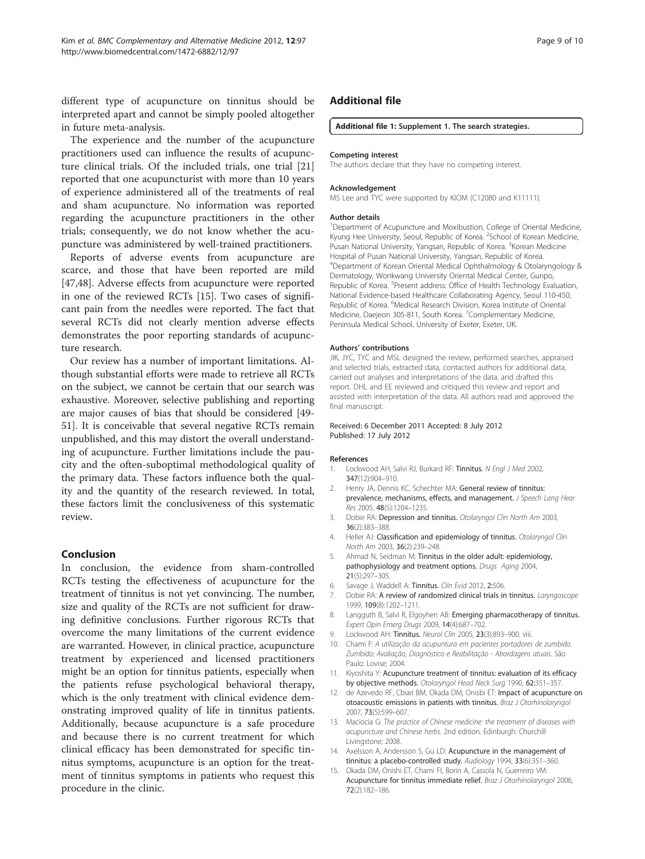<span id="page-8-0"></span>different type of acupuncture on tinnitus should be interpreted apart and cannot be simply pooled altogether in future meta-analysis.

The experience and the number of the acupuncture practitioners used can influence the results of acupuncture clinical trials. Of the included trials, one trial [[21](#page-9-0)] reported that one acupuncturist with more than 10 years of experience administered all of the treatments of real and sham acupuncture. No information was reported regarding the acupuncture practitioners in the other trials; consequently, we do not know whether the acupuncture was administered by well-trained practitioners.

Reports of adverse events from acupuncture are scarce, and those that have been reported are mild [[47,48\]](#page-9-0). Adverse effects from acupuncture were reported in one of the reviewed RCTs [15]. Two cases of significant pain from the needles were reported. The fact that several RCTs did not clearly mention adverse effects demonstrates the poor reporting standards of acupuncture research.

Our review has a number of important limitations. Although substantial efforts were made to retrieve all RCTs on the subject, we cannot be certain that our search was exhaustive. Moreover, selective publishing and reporting are major causes of bias that should be considered [\[49-](#page-9-0) [51\]](#page-9-0). It is conceivable that several negative RCTs remain unpublished, and this may distort the overall understanding of acupuncture. Further limitations include the paucity and the often-suboptimal methodological quality of the primary data. These factors influence both the quality and the quantity of the research reviewed. In total, these factors limit the conclusiveness of this systematic review.

#### Conclusion

In conclusion, the evidence from sham-controlled RCTs testing the effectiveness of acupuncture for the treatment of tinnitus is not yet convincing. The number, size and quality of the RCTs are not sufficient for drawing definitive conclusions. Further rigorous RCTs that overcome the many limitations of the current evidence are warranted. However, in clinical practice, acupuncture treatment by experienced and licensed practitioners might be an option for tinnitus patients, especially when the patients refuse psychological behavioral therapy, which is the only treatment with clinical evidence demonstrating improved quality of life in tinnitus patients. Additionally, because acupuncture is a safe procedure and because there is no current treatment for which clinical efficacy has been demonstrated for specific tinnitus symptoms, acupuncture is an option for the treatment of tinnitus symptoms in patients who request this procedure in the clinic.

#### Additional file

#### [Additional file 1:](http://www.biomedcentral.com/content/supplementary/1472-6882-12-97-S1.pdf) Supplement 1. The search strategies.

#### Competing interest

The authors declare that they have no competing interest.

#### Acknowledgement

MS Lee and TYC were supported by KIOM (C12080 and K11111).

#### Author details

<sup>1</sup>Department of Acupuncture and Moxibustion, College of Oriental Medicine, Kyung Hee University, Seoul, Republic of Korea. <sup>2</sup>School of Korean Medicine Pusan National University, Yangsan, Republic of Korea. <sup>3</sup>Korean Medicine Hospital of Pusan National University, Yangsan, Republic of Korea. 4 Department of Korean Oriental Medical Ophthalmology & Otolaryngology & Dermatology, Wonkwang University Oriental Medical Center, Gunpo, Republic of Korea. <sup>5</sup>Present address: Office of Health Technology Evaluation National Evidence-based Healthcare Collaborating Agency, Seoul 110-450, Republic of Korea. <sup>6</sup>Medical Research Division, Korea Institute of Oriental Medicine, Daejeon 305-811, South Korea. <sup>7</sup>Complementary Medicine Peninsula Medical School, University of Exeter, Exeter, UK.

#### Authors' contributions

JIK, JYC, TYC and MSL designed the review, performed searches, appraised and selected trials, extracted data, contacted authors for additional data, carried out analyses and interpretations of the data, and drafted this report. DHL and EE reviewed and critiqued this review and report and assisted with interpretation of the data. All authors read and approved the final manuscript.

#### Received: 6 December 2011 Accepted: 8 July 2012 Published: 17 July 2012

#### References

- Lockwood AH, Salvi RJ, Burkard RF: Tinnitus. N Engl J Med 2002, 347(12):904–910.
- 2. Henry JA, Dennis KC, Schechter MA: General review of tinnitus: prevalence, mechanisms, effects, and management. J Speech Lang Hear Res 2005, 48(5):1204–1235.
- 3. Dobie RA: Depression and tinnitus. Otolaryngol Clin North Am 2003, 36(2):383–388.
- 4. Heller AJ: Classification and epidemiology of tinnitus. Otolaryngol Clin North Am 2003, 36(2):239–248.
- 5. Ahmad N, Seidman M: Tinnitus in the older adult: epidemiology, pathophysiology and treatment options. Drugs Aging 2004, 21(5):297–305.
- 6. Savage J, Waddell A: Tinnitus. Clin Evid 2012, 2:506.
- 7. Dobie RA: A review of randomized clinical trials in tinnitus. Laryngoscope 1999, 109(8):1202–1211.
- 8. Langguth B, Salvi R, Elgoyhen AB: Emerging pharmacotherapy of tinnitus. Expert Opin Emerg Drugs 2009, 14(4):687–702.
- 9. Lockwood AH: Tinnitus. Neurol Clin 2005, 23(3):893–900. viii.
- 10. Chami F: A utilização da acupuntura em pacientes portadores de zumbido. Zumbido: Avaliação, Diagnóstico e Reabilitação - Abordagens atuais. São Paulo: Lovise; 2004.
- 11. Kiyoshita Y: Acupuncture treatment of tinnitus: evaluation of its efficacy by objective methods. Otolaryngol Head Neck Surg 1990, 62:351–357.
- 12. de Azevedo RF, Cbiari BM, Okada DM, Onisbi ET: Impact of acupuncture on otoacoustic emissions in patients with tinnitus. Braz J Otorhinolaryngol 2007, 73(5):599–607.
- 13. Maciocia G: The practice of Chinese medicine: the treatment of diseases with acupuncture and Chinese herbs. 2nd edition. Edinburgh: Churchill Livingstone; 2008.
- 14. Axelsson A, Andersson S, Gu LD: Acupuncture in the management of tinnitus: a placebo-controlled study. Audiology 1994, 33(6):351-360
- 15. Okada DM, Onishi ET, Chami FI, Borin A, Cassola N, Guerreiro VM: Acupuncture for tinnitus immediate relief. Braz J Otorhinolaryngol 2006, 72(2):182–186.